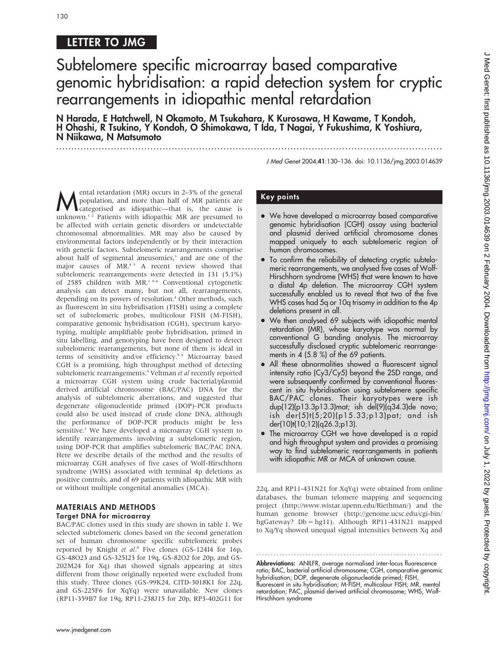# LETTER TO JMG

# Subtelomere specific microarray based comparative genomic hybridisation: a rapid detection system for cryptic rearrangements in idiopathic mental retardation

N Harada, E Hatchwell, N Okamoto, M Tsukahara, K Kurosawa, H Kawame, T Kondoh, H Ohashi, R Tsukino, Y Kondoh, O Shimokawa, T Ida, T Nagai, Y Fukushima, K Yoshiura, N Niikawa, N Matsumoto

.............................................................................................................................. .

J Med Genet 2004;41:130–136. doi: 10.1136/jmg.2003.014639

**Mental retardation** (MR) occurs in 2–3% of the general<br>population, and more than half of MR patients are<br>categorised as idiopathic—that is, the cause is<br>unknown <sup>1,2</sup> Patients with idiopathic MP are presumed to population, and more than half of MR patients are unknown.<sup>12</sup> Patients with idiopathic MR are presumed to be affected with certain genetic disorders or undetectable chromosomal abnormalities. MR may also be caused by environmental factors independently or by their interaction with genetic factors. Subtelomeric rearrangements comprise about half of segmental aneusomies,<sup>3</sup> and are one of the major causes of MR.<sup>45</sup> A recent review showed that subtelomeric rearrangements were detected in 131 (5.1%) of 2585 children with MR.1 4–6 Conventional cytogenetic analysis can detect many, but not all, rearrangements, depending on its powers of resolution.<sup>4</sup> Other methods, such as fluorescent in situ hybridisation (FISH) using a complete set of subtelomeric probes, multicolour FISH (M-FISH), comparative genomic hybridisation (CGH), spectrum karyotyping, multiple amplifiable probe hybridisation, primed in situ labelling, and genotyping have been designed to detect subtelomeric rearrangements, but none of them is ideal in terms of sensitivity and/or efficiency.<sup>4 6</sup> Microarray based CGH is a promising, high throughput method of detecting subtelomeric rearrangements.<sup>4</sup> Veltman et al recently reported a microarray CGH system using crude bacterial/plasmid derived artificial chromosome (BAC/PAC) DNA for the analysis of subtelomeric aberrations, and suggested that degenerate oligonucleotide primed (DOP)-PCR products could also be used instead of crude clone DNA, although the performance of DOP-PCR products might be less sensitive.<sup>7</sup> We have developed a microarray CGH system to identify rearrangements involving a subtelomeric region, using DOP-PCR that amplifies subtelomeric BAC/PAC DNA. Here we describe details of the method and the results of microarray CGH analyses of five cases of Wolf-Hirschhorn syndrome (WHS) associated with terminal 4p deletions as positive controls, and of 69 patients with idiopathic MR with or without multiple congenital anomalies (MCA).

#### MATERIALS AND METHODS Target DNA for microarray

BAC/PAC clones used in this study are shown in table 1. We selected subtelomeric clones based on the second generation set of human chromosome specific subtelomeric probes reported by Knight et al.<sup>8</sup> Five clones (GS-124I4 for 16p, GS-48O23 and GS-325I23 for 19q, GS-82O2 for 20p, and GS-202M24 for Xq) that showed signals appearing at sites different from those originally reported were excluded from this study. Three clones (GS-99K24, CITD-3018K1 for 22q, and GS-225F6 for XqYq) were unavailable. New clones (RP11-359B7 for 19q, RP11-238J15 for 20p, RP3-402G11 for

## Key points

- We have developed a microarray based comparative genomic hybridisation (CGH) assay using bacterial and plasmid derived artificial chromosome clones mapped uniquely to each subtelomeric region of human chromosomes.
- To confirm the reliability of detecting cryptic subtelomeric rearrangements, we analysed five cases of Wolf-Hirschhorn syndrome (WHS) that were known to have a distal 4p deletion. The microarray CGH system successfully enabled us to reveal that two of the five WHS cases had 5q or 10q trisomy in addition to the 4p deletions present in all.
- We then analysed 69 subjects with idiopathic mental retardation (MR), whose karyotype was normal by conventional G banding analysis. The microarray successfully disclosed cryptic subtelomeric rearrangements in 4 (5.8 %) of the 69 patients.
- All these abnormalities showed a fluorescent signal intensity ratio (Cy3/Cy5) beyond the 2SD range, and were subsequently confirmed by conventional fluorescent in situ hybridisation using subtelomere specific BAC/PAC clones. Their karyotypes were ish dup(12)(p13.3p13.3)mat; ish del(9)(q34.3)de novo; ish der(5)t(5;20)(p15.33;p13)pat; and ish der(10)t(10;12)(q26.3;p13).
- The microarray CGH we have developed is a rapid and high throughput system and provides a promising way to find subtelomeric rearrangements in patients with idiopathic MR or MCA of unknown cause.

22q, and RP11-431N21 for XqYq) were obtained from online databases, the human telomere mapping and sequencing project (http://www.wistar.upenn.edu/Riethman/) and the human genome browser (http://genome.ucsc.edu/cgi-bin/ hgGateway? Db = hg11). Although RP11-431N21 mapped to Xq/Yq showed unequal signal intensities between Xq and

............................................................... .

Abbreviations: ANILFR, average normalised inter-locus fluorescence ratio; BAC, bacterial artificial chromosome; CGH, comparative genomic hybridisation; DOP, degenerate oligonucleotide primed; FISH, fluorescent in situ hybridisation; M-FISH, multicolour FISH; MR, mental retardation; PAC, plasmid derived artificial chromosome; WHS, Wolf-Hirschhorn syndrome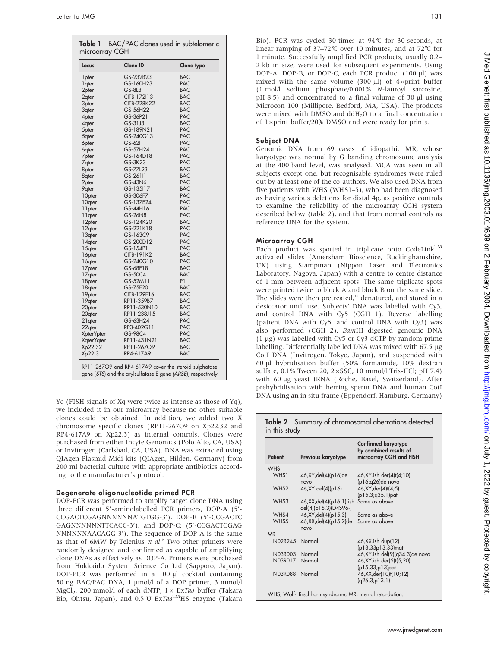| Locus              | Clone ID           | Clone type |
|--------------------|--------------------|------------|
| 1 pter             | GS-232B23          | <b>BAC</b> |
| 1 qter             | GS-160H23          | PAC        |
| 2pter              | GS-8L3             | <b>BAC</b> |
| 2 <sub>qter</sub>  | CITB-172113        | <b>BAC</b> |
| 3 <sub>pter</sub>  | <b>CITB-228K22</b> | <b>BAC</b> |
| 3qter              | GS-56H22           | <b>BAC</b> |
| 4pter              | GS-36P21           | PAC        |
| 4 <sub>qter</sub>  | GS-31J3            | <b>BAC</b> |
| 5pter              | GS-189N21          | PAC        |
| 5qter              | GS-240G13          | PAC        |
| <b>6pter</b>       | GS-62111           | PAC        |
| <b>6</b> qter      | GS-57H24           | PAC        |
| 7 <sub>pter</sub>  | GS-164D18          | PAC        |
| 7qter              | GS-3K23            | PAC        |
| 8pter              | GS-77L23           | <b>BAC</b> |
| 8qter              | GS-26111           | <b>BAC</b> |
| <b>9pter</b>       | GS-43N6            | PAC        |
| 9qter              | GS-135117          | <b>BAC</b> |
| 10pter             | GS-306F7           | PAC        |
| 10qter             | GS-137E24          | PAC        |
| 11pter             | GS-44H16           | PAC        |
| 11 <sub>gter</sub> | GS-26N8            | PAC        |
| 12pter             | GS-124K20          | <b>BAC</b> |
| 12qter             | GS-221K18          | PAC        |
| 13qter             | GS-163C9           | PAC        |
| 14qter             | GS-200D12          | PAC        |
| 15qter             | GS-154P1           | PAC        |
| 16pter             | CITB-191K2         | <b>BAC</b> |
| 16qter             | GS-240G10          | PAC        |
| 17pter             | GS-68F18           | <b>BAC</b> |
| 17 <sub>qter</sub> | GS-50C4            | <b>BAC</b> |
| 18pter             | GS-52M11           | P1         |
| 18qter             | GS-75F20           | <b>BAC</b> |
| 19pter             | CITB-129F16        | <b>BAC</b> |
| 19qter             | RP11-359B7         | <b>BAC</b> |
| 20 <sub>pter</sub> | RP11-530N10        | <b>BAC</b> |
| 20qter             | RP11-238J15        | <b>BAC</b> |
| 21 gter            | GS-63H24           | PAC        |
| 22qter             | RP3-402G11         | PAC        |
| <b>XpterYpter</b>  | GS-98C4            | PAC        |
| XqterYqter         | RP11-431N21        | <b>BAC</b> |
| Xp22.32            | RP11-267O9         | <b>BAC</b> |
| Xp22.3             | RP4-617A9          | <b>BAC</b> |

Yq (FISH signals of Xq were twice as intense as those of Yq), we included it in our microarray because no other suitable clones could be obtained. In addition, we added two X chromosome specific clones (RP11-267O9 on Xp22.32 and RP4-617A9 on Xp22.3) as internal controls. Clones were purchased from either Incyte Genomics (Polo Alto, CA, USA) or Invitrogen (Carlsbad, CA, USA). DNA was extracted using QIAgen Plasmid Midi kits (QIAgen, Hilden, Germany) from 200 ml bacterial culture with appropriate antibiotics according to the manufacturer's protocol.

#### Degenerate oligonucleotide primed PCR

DOP-PCR was performed to amplify target clone DNA using three different 5'-aminolabelled PCR primers, DOP-A (5'-CCGACTCGAGNNNNNNATGTGG-3'), DOP-B (5'-CCGACTC GAGNNNNNNTTCACC-3'), and DOP-C: (5'-CCGACTCGAG NNNNNNAACAGG-3'). The sequence of DOP-A is the same as that of 6MW by Telenius et al.<sup>9</sup> Two other primers were randomly designed and confirmed as capable of amplifying clone DNAs as effectively as DOP-A. Primers were purchased from Hokkaido System Science Co Ltd (Sapporo, Japan). DOP-PCR was performed in a 100 µl cocktail containing 50 ng BAC/PAC DNA, 1 mmol/l of a DOP primer, 3 mmol/l MgCl<sub>2</sub>, 200 mmol/l of each dNTP,  $1 \times$  ExTaq buffer (Takara Bio, Ohtsu, Japan), and 0.5 U ExTaq<sup>TM</sup>HS enzyme (Takara

Bio). PCR was cycled 30 times at 94˚C for 30 seconds, at linear ramping of  $37-72^{\circ}$ C over 10 minutes, and at  $72^{\circ}$ C for 1 minute. Successfully amplified PCR products, usually 0.2– 2 kb in size, were used for subsequent experiments. Using DOP-A, DOP-B, or DOP-C, each PCR product (100 µl) was mixed with the same volume (300  $\mu$ l) of 4×print buffer (1 mol/l sodium phosphate/0.001% N-lauroyl sarcosine, pH 8.5) and concentrated to a final volume of 30  $\mu$ l using Microcon 100 (Millipore, Bedford, MA, USA). The products were mixed with DMSO and ddH<sub>2</sub>O to a final concentration of  $1 \times print$  buffer/20% DMSO and were ready for prints.

#### Subject DNA

Genomic DNA from 69 cases of idiopathic MR, whose karyotype was normal by G banding chromosome analysis at the 400 band level, was analysed. MCA was seen in all subjects except one, but recognisable syndromes were ruled out by at least one of the co-authors. We also used DNA from five patients with WHS (WHS1–5), who had been diagnosed as having various deletions for distal 4p, as positive controls to examine the reliability of the microarray CGH system described below (table 2), and that from normal controls as reference DNA for the system.

#### Microarray CGH

Each product was spotted in triplicate onto CodeLink<sup>TM</sup> activated slides (Amersham Bioscience, Buckinghamshire, UK) using Stampman (Nippon Laser and Electronics Laboratory, Nagoya, Japan) with a centre to centre distance of 1 mm between adjacent spots. The same triplicate spots were printed twice to block A and block B on the same slide. The slides were then pretreated,<sup>10</sup> denatured, and stored in a desiccator until use. Subjects' DNA was labelled with Cy3, and control DNA with Cy5 (CGH 1). Reverse labelling (patient DNA with Cy5, and control DNA with Cy3) was also performed (CGH 2). BamHI digested genomic DNA  $(1 \mu g)$  was labelled with Cy5 or Cy3 dCTP by random prime labelling. Differentially labelled DNA was mixed with 67.5 µg CotI DNA (Invitrogen, Tokyo, Japan), and suspended with 60 ml hybridisation buffer (50% formamide, 10% dextran sulfate,  $0.1\%$  Tween 20,  $2 \times SSC$ , 10 mmol/l Tris-HCl; pH 7.4) with 60 µg yeast tRNA (Roche, Basel, Switzerland). After prehybridisation with herring sperm DNA and human CotI DNA using an in situ frame (Eppendorf, Hamburg, Germany)

### Table 2 Summary of chromosomal aberrations detected in this study

| <b>Patient</b>   | Previous karyotype                                  | Confirmed karyotype<br>by combined results of<br>microarray CGH and FISH |
|------------------|-----------------------------------------------------|--------------------------------------------------------------------------|
| <b>WHS</b>       |                                                     |                                                                          |
| WHS1             | 46, XY, del(4)(p16) de<br>novo                      | 46, XY. ish der(4)t(4; 10)<br>$(p16; q26)$ de novo                       |
| WHS <sub>2</sub> | 46, XY del(4)(p16)                                  | 46, XY, der(4)t(4;5)<br>$(p15.3; q35.1)$ pat                             |
| WHS3             | 46, XX, del(4)(p16.1). ish<br>del(4)(p16.3)(D4S96-) | Same as above                                                            |
| WHS4             | 46, XY, del(4)(p15.3)                               | Same as above                                                            |
| WHS5             | 46, XX, del(4)(p15.2) de<br>novo                    | Same as above                                                            |
| <b>MR</b>        |                                                     |                                                                          |
| N02R245 Normal   |                                                     | 46, XX.ish dup(12)<br>(p13.33p13.33)mat                                  |
| N03R003          | Normal                                              | 46, XY.ish del(9)(q34.3) de novo                                         |
| N03R017          | Normal                                              | 46, XY. ish der(5)t(5;20)<br>(p15.33;p13)pat                             |
| N03R088          | Normal                                              | 46, XX, der(10)t(10;12)<br>(q26.3;p13.1)                                 |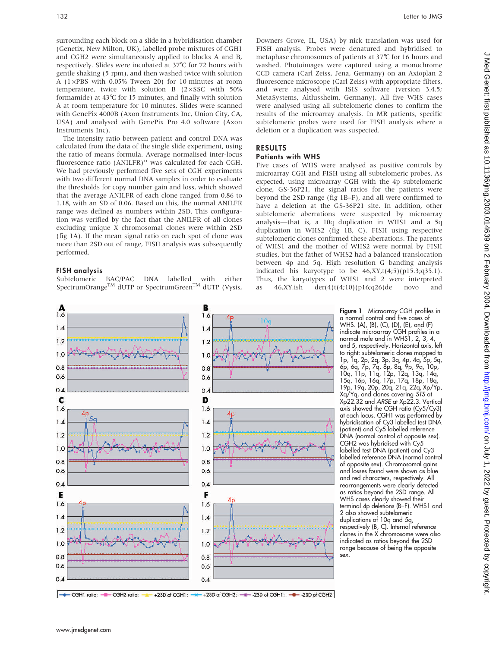surrounding each block on a slide in a hybridisation chamber (Genetix, New Milton, UK), labelled probe mixtures of CGH1 and CGH2 were simultaneously applied to blocks A and B, respectively. Slides were incubated at 37˚C for 72 hours with gentle shaking (5 rpm), and then washed twice with solution A ( $1\times$ PBS with 0.05% Tween 20) for 10 minutes at room temperature, twice with solution B  $(2 \times SSC$  with 50% formamide) at 43˚C for 15 minutes, and finally with solution A at room temperature for 10 minutes. Slides were scanned with GenePix 4000B (Axon Instruments Inc, Union City, CA, USA) and analysed with GenePix Pro 4.0 software (Axon Instruments Inc).

The intensity ratio between patient and control DNA was calculated from the data of the single slide experiment, using the ratio of means formula. Average normalised inter-locus fluorescence ratio  $(ANILFR)^{11}$  was calculated for each CGH. We had previously performed five sets of CGH experiments with two different normal DNA samples in order to evaluate the thresholds for copy number gain and loss, which showed that the average ANILFR of each clone ranged from 0.86 to 1.18, with an SD of 0.06. Based on this, the normal ANILFR range was defined as numbers within 2SD. This configuration was verified by the fact that the ANILFR of all clones excluding unique X chromosomal clones were within 2SD (fig 1A). If the mean signal ratio on each spot of clone was more than 2SD out of range, FISH analysis was subsequently performed.

#### FISH analysis

Subtelomeric BAC/PAC DNA labelled with either SpectrumOrange<sup>TM</sup> dUTP or SpectrumGreen<sup>TM</sup> dUTP (Vysis, Downers Grove, IL, USA) by nick translation was used for FISH analysis. Probes were denatured and hybridised to metaphase chromosomes of patients at 37˚C for 16 hours and washed. Photoimages were captured using a monochrome CCD camera (Carl Zeiss, Jena, Germany) on an Axioplan 2 fluorescence microscope (Carl Zeiss) with appropriate filters, and were analysed with ISIS software (version 3.4.5; MetaSystems, Altlussheim, Germany). All five WHS cases were analysed using all subtelomeric clones to confirm the results of the microarray analysis. In MR patients, specific subtelomeric probes were used for FISH analysis where a deletion or a duplication was suspected.

#### RESULTS Patients with WHS

Five cases of WHS were analysed as positive controls by microarray CGH and FISH using all subtelomeric probes. As expected, using microarray CGH with the 4p subtelomeric clone, GS-36P21, the signal ratios for the patients were beyond the 2SD range (fig 1B–F), and all were confirmed to have a deletion at the GS-36P21 site. In addition, other subtelomeric aberrations were suspected by microarray analysis—that is, a 10q duplication in WHS1 and a 5q duplication in WHS2 (fig 1B, C). FISH using respective subtelomeric clones confirmed these aberrations. The parents of WHS1 and the mother of WHS2 were normal by FISH studies, but the father of WHS2 had a balanced translocation between 4p and 5q. High resolution G banding analysis indicated his karyotype to be  $46, XY, t(4,5)(p15.3; q35.1)$ . Thus, the karyotypes of WHS1 and 2 were interpreted as  $46, XY.ish$  der(4)t(4;10)(p16;q26)de novo and



Figure 1 Microarray CGH profiles in a normal control and five cases of WHS. (A), (B), (C), (D), (E), and (F) indicate microarray CGH profiles in a normal male and in WHS1, 2, 3, 4, and 5, respectively. Horizontal axis, left to right: subtelomeric clones mapped to 1p, 1q, 2p, 2q, 3p, 3q, 4p, 4q, 5p, 5q, 6p, 6q, 7p, 7q, 8p, 8q, 9p, 9q, 10p, 10q, 11p, 11q, 12p, 12q, 13q, 14q, 15q, 16p, 16q, 17p, 17q, 18p, 18q, 19p, 19q, 20p, 20q, 21q, 22q, Xp/Yp, Xq/Yq, and clones covering STS at Xp22.32 and ARSE at Xp22.3. Vertical axis showed the CGH ratio (Cy5/Cy3) at each locus. CGH1 was performed by hybridisation of Cy3 labelled test DNA (patient) and Cy5 labelled reference DNA (normal control of opposite sex). CGH2 was hybridised with Cy5 labelled test DNA (patient) and Cy3 labelled reference DNA (normal control of opposite sex). Chromosomal gains and losses found were shown as blue and red characters, respectively. All rearrangements were clearly detected as ratios beyond the 2SD range. All WHS cases clearly showed their terminal 4p deletions (B–F). WHS1 and 2 also showed subtelomeric duplications of 10q and 5q, respectively (B, C). Internal reference clones in the X chromosome were also indicated as ratios beyond the 2SD range because of being the opposite sex.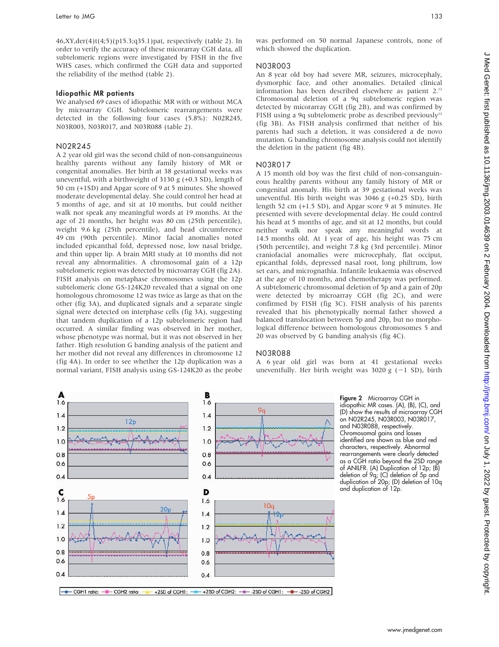46,XY,der(4)t(4;5)(p15.3;q35.1)pat, respectively (table 2). In order to verify the accuracy of these micorarray CGH data, all subtelomeric regions were investigated by FISH in the five WHS cases, which confirmed the CGH data and supported the reliability of the method (table 2).

#### Idiopathic MR patients

We analysed 69 cases of idiopathic MR with or without MCA by microarray CGH. Subtelomeric rearrangements were detected in the following four cases (5.8%): N02R245, N03R003, N03R017, and N03R088 (table 2).

#### N02R245

A 2 year old girl was the second child of non-consanguineous healthy parents without any family history of MR or congenital anomalies. Her birth at 38 gestational weeks was uneventful, with a birthweight of 3130 g (+0.3 SD), length of 50 cm (+1SD) and Apgar score of 9 at 5 minutes. She showed moderate developmental delay. She could control her head at 5 months of age, and sit at 10 months, but could neither walk nor speak any meaningful words at 19 months. At the age of 21 months, her height was 80 cm (25th percentile), weight 9.6 kg (25th percentile), and head circumference 49 cm (90th percentile). Minor facial anomalies noted included epicanthal fold, depressed nose, low nasal bridge, and thin upper lip. A brain MRI study at 10 months did not reveal any abnormalities. A chromosomal gain of a 12p subtelomeric region was detected by microarray CGH (fig 2A). FISH analysis on metaphase chromosomes using the 12p subtelomeric clone GS-124K20 revealed that a signal on one homologous chromosome 12 was twice as large as that on the other (fig 3A), and duplicated signals and a separate single signal were detected on interphase cells (fig 3A), suggesting that tandem duplication of a 12p subtelomeric region had occurred. A similar finding was observed in her mother, whose phenotype was normal, but it was not observed in her father. High resolution G banding analysis of the patient and her mother did not reveal any differences in chromosome 12 (fig 4A). In order to see whether the 12p duplication was a normal variant, FISH analysis using GS-124K20 as the probe was performed on 50 normal Japanese controls, none of which showed the duplication.

#### N03R003

An 8 year old boy had severe MR, seizures, microcephaly, dysmorphic face, and other anomalies. Detailed clinical information has been described elsewhere as patient 2.12 Chromosomal deletion of a 9q subtelomeric region was detected by micorarray CGH (fig 2B), and was confirmed by FISH using a 9q subtelomeric probe as described previously<sup>12</sup> (fig 3B). As FISH analysis confirmed that neither of his parents had such a deletion, it was considered a de novo mutation. G banding chromosome analysis could not identify the deletion in the patient (fig 4B).

#### N03R017

A 15 month old boy was the first child of non-consanguineous healthy parents without any family history of MR or congenital anomaly. His birth at 39 gestational weeks was uneventful. His birth weight was 3046 g (+0.25 SD), birth length 52 cm (+1.5 SD), and Apgar score 9 at 5 minutes. He presented with severe developmental delay. He could control his head at 5 months of age, and sit at 12 months, but could neither walk nor speak any meaningful words at 14.5 months old. At 1 year of age, his height was 75 cm (50th percentile), and weight 7.8 kg (3rd percentile). Minor craniofacial anomalies were microcephaly, flat occiput, epicanthal folds, depressed nasal root, long philtrum, low set ears, and micrognathia. Infantile leukaemia was observed at the age of 10 months, and chemotherapy was performed. A subtelomeric chromosomal deletion of 5p and a gain of 20p were detected by microarray CGH (fig 2C), and were confirmed by FISH (fig 3C). FISH analysis of his parents revealed that his phenotypically normal father showed a balanced translocation between 5p and 20p, but no morphological difference between homologous chromosomes 5 and 20 was observed by G banding analysis (fig 4C).

#### N03R088

A 6 year old girl was born at 41 gestational weeks uneventfully. Her birth weight was 3020 g  $(-1 S)$ , birth



Figure 2 Microarray CGH in idiopathic MR cases. (A), (B), (C), and (D) show the results of microarray CGH on N02R245, N03R003, N03R017, and N03R088, respectively. Chromosomal gains and losses identified are shown as blue and red characters, respectively. Abnormal rearrangements were clearly detected as a CGH ratio beyond the 2SD range of ANILFR. (A) Duplication of 12p; (B) deletion of 9q; (C) deletion of 5p and duplication of 20p; (D) deletion of 10q and duplication of 12p.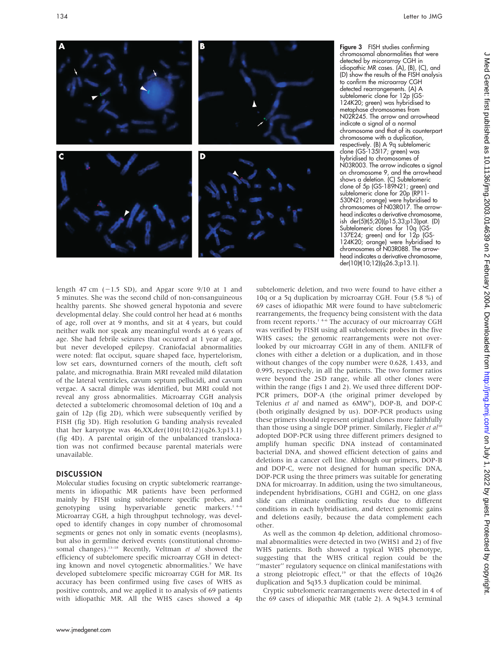

Figure 3 FISH studies confirming chromosomal abnormalities that were detected by micorarray CGH in idiopathic MR cases. (A), (B), (C), and (D) show the results of the FISH analysis to confirm the microarray CGH detected rearrangements. (A) A subtelomeric clone for 12p (GS-124K20; green) was hybridised to metaphase chromosomes from N02R245. The arrow and arrowhead indicate a signal of a normal chromosome and that of its counterpart chromosome with a duplication, respectively. (B) A 9q subtelomeric clone (GS-135I17; green) was hybridised to chromosomes of N03R003. The arrow indicates a signal on chromosome 9, and the arrowhead shows a deletion. (C) Subtelomeric clone of 5p (GS-189N21; green) and subtelomeric clone for 20p (RP11- 530N21; orange) were hybridised to chromosomes of N03R017. The arrowhead indicates a derivative chromosome, ish der(5)t(5;20)(p15.33;p13)pat. (D) Subtelomeric clones for 10q (GS-137E24; green) and for 12p (GS-124K20; orange) were hybridised to chromosomes of N03R088. The arrowhead indicates a derivative chromosome, der(10)t(10;12)(q26.3;p13.1).

length 47 cm  $(-1.5 SD)$ , and Apgar score 9/10 at 1 and 5 minutes. She was the second child of non-consanguineous healthy parents. She showed general hypotonia and severe developmental delay. She could control her head at 6 months of age, roll over at 9 months, and sit at 4 years, but could neither walk nor speak any meaningful words at 6 years of age. She had febrile seizures that occurred at 1 year of age, but never developed epilepsy. Craniofacial abnormalities were noted: flat occiput, square shaped face, hypertelorism, low set ears, downturned corners of the mouth, cleft soft palate, and micrognathia. Brain MRI revealed mild dilatation of the lateral ventricles, cavum septum pellucidi, and cavum vergae. A sacral dimple was identified, but MRI could not reveal any gross abnormalities. Microarray CGH analysis detected a subtelomeric chromosomal deletion of 10q and a gain of 12p (fig 2D), which were subsequently verified by FISH (fig 3D). High resolution G banding analysis revealed that her karyotype was 46,XX,der(10)t(10;12)(q26.3;p13.1) (fig 4D). A parental origin of the unbalanced translocation was not confirmed because parental materials were unavailable.

### **DISCUSSION**

Molecular studies focusing on cryptic subtelomeric rearrangements in idiopathic MR patients have been performed mainly by FISH using subtelomere specific probes, and genotyping using hypervariable genetic markers.<sup>14-6</sup> Microarray CGH, a high throughput technology, was developed to identify changes in copy number of chromosomal segments or genes not only in somatic events (neoplasms), but also in germline derived events (constitutional chromosomal changes).<sup>13-18</sup> Recently, Veltman et al showed the efficiency of subtelomere specific microarray CGH in detecting known and novel cytogenetic abnormalities.<sup>7</sup> We have developed subtelomere specific microarray CGH for MR. Its accuracy has been confirmed using five cases of WHS as positive controls, and we applied it to analysis of 69 patients with idiopathic MR. All the WHS cases showed a 4p

subtelomeric deletion, and two were found to have either a 10q or a 5q duplication by microarray CGH. Four (5.8 %) of 69 cases of idiopathic MR were found to have subtelomeric rearrangements, the frequency being consistent with the data from recent reports.<sup>14-6</sup> The accuracy of our microarray CGH was verified by FISH using all subtelomeric probes in the five WHS cases; the genomic rearrangements were not overlooked by our microarray CGH in any of them. ANILFR of clones with either a deletion or a duplication, and in those without changes of the copy number were 0.628, 1.433, and 0.995, respectively, in all the patients. The two former ratios were beyond the 2SD range, while all other clones were within the range (figs 1 and 2). We used three different DOP-PCR primers, DOP-A (the original primer developed by Telenius et al and named as 6MW<sup>9</sup>), DOP-B, and DOP-C (both originally designed by us). DOP-PCR products using these primers should represent original clones more faithfully than those using a single DOP primer. Similarly, Fiegler et  $al^{10}$ adopted DOP-PCR using three different primers designed to amplify human specific DNA instead of contaminated bacterial DNA, and showed efficient detection of gains and deletions in a cancer cell line. Although our primers, DOP-B and DOP-C, were not designed for human specific DNA, DOP-PCR using the three primers was suitable for generating DNA for microarray. In addition, using the two simultaneous, independent hybridisations, CGH1 and CGH2, on one glass slide can eliminate conflicting results due to different conditions in each hybridisation, and detect genomic gains and deletions easily, because the data complement each other.

As well as the common 4p deletion, additional chromosomal abnormalities were detected in two (WHS1 and 2) of five WHS patients. Both showed a typical WHS phenotype, suggesting that the WHS critical region could be the "master" regulatory sequence on clinical manifestations with a strong pleiotropic effect,<sup>19</sup> or that the effects of 10q26 duplication and 5q35.3 duplication could be minimal.

Cryptic subtelomeric rearrangements were detected in 4 of the 69 cases of idiopathic MR (table 2). A 9q34.3 terminal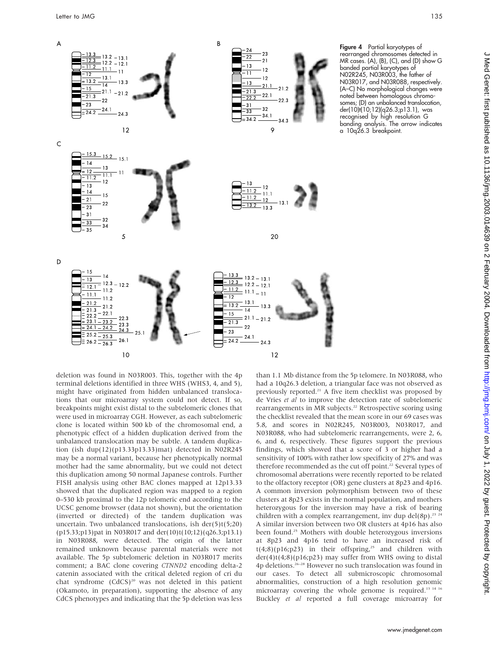

Figure 4 Partial karyotypes of rearranged chromosomes detected in MR cases. (A), (B), (C), and (D) show G banded partial karyotypes of N02R245, N03R003, the father of N03R017, and N03R088, respectively. (A–C) No morphological changes were noted between homologous chromosomes; (D) an unbalanced translocation, der(10)t(10;12)(q26.3;p13.1), was recognised by high resolution G banding analysis. The arrow indicates a 10q26.3 breakpoint.

deletion was found in N03R003. This, together with the 4p terminal deletions identified in three WHS (WHS3, 4, and 5), might have originated from hidden unbalanced translocations that our microarray system could not detect. If so, breakpoints might exist distal to the subtelomeric clones that were used in microarray CGH. However, as each subtelomeric clone is located within 500 kb of the chromosomal end, a phenotypic effect of a hidden duplication derived from the unbalanced translocation may be subtle. A tandem duplication (ish dup(12)(p13.33p13.33)mat) detected in N02R245 may be a normal variant, because her phenotypically normal mother had the same abnormality, but we could not detect this duplication among 50 normal Japanese controls. Further FISH analysis using other BAC clones mapped at 12p13.33 showed that the duplicated region was mapped to a region 0–530 kb proximal to the 12p telomeric end according to the UCSC genome browser (data not shown), but the orientation (inverted or directed) of the tandem duplication was uncertain. Two unbalanced translocations, ish der(5)t(5;20) (p15.33;p13)pat in N03R017 and der(10)t(10;12)(q26.3;p13.1) in N03R088, were detected. The origin of the latter remained unknown because parental materials were not available. The 5p subtelomeric deletion in N03R017 merits comment; a BAC clone covering CTNND2 encoding delta-2 catenin associated with the critical deleted region of cri du chat syndrome  $(CdCS)^{20}$  was not deleted in this patient (Okamoto, in preparation), supporting the absence of any CdCS phenotypes and indicating that the 5p deletion was less

than 1.1 Mb distance from the 5p telomere. In N03R088, who had a 10q26.3 deletion, a triangular face was not observed as previously reported.<sup>21</sup> A five item checklist was proposed by de Vries et al to improve the detection rate of subtelomeric rearrangements in MR subjects.<sup>22</sup> Retrospective scoring using the checklist revealed that the mean score in our 69 cases was 5.8, and scores in N02R245, N03R003, N03R017, and N03R088, who had subtelomeric rearrangements, were 2, 6, 6, and 6, respectively. These figures support the previous findings, which showed that a score of 3 or higher had a sensitivity of 100% with rather low specificity of 27% and was therefore recommended as the cut off point.<sup>22</sup> Several types of chromosomal aberrations were recently reported to be related to the olfactory receptor (OR) gene clusters at 8p23 and 4p16. A common inversion polymorphism between two of these clusters at 8p23 exists in the normal population, and mothers heterozygous for the inversion may have a risk of bearing children with a complex rearrangement, inv dup del(8p).<sup>23 24</sup> A similar inversion between two OR clusters at 4p16 has also been found.25 Mothers with double heterozygous inversions at 8p23 and 4p16 tend to have an increased risk of  $t(4;8)(p16;p23)$  in their offspring,<sup>25</sup> and children with der(4)t(4;8)(p16;p23) may suffer from WHS owing to distal 4p deletions.26–28 However no such translocation was found in our cases. To detect all submicroscopic chromosomal abnormalities, construction of a high resolution genomic microarray covering the whole genome is required.<sup>13 14 16</sup> Buckley et al reported a full coverage microarray for